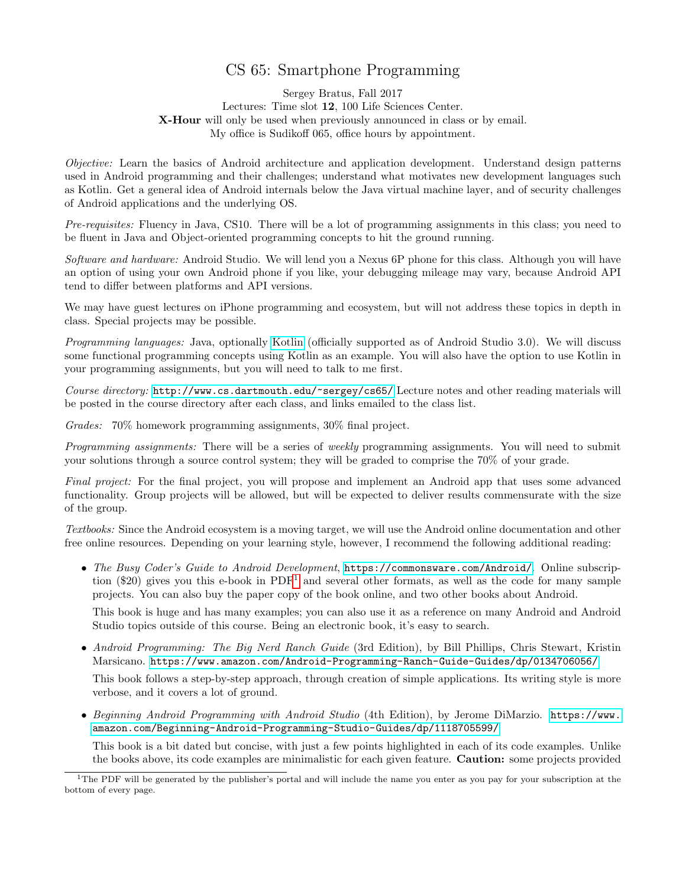## CS 65: Smartphone Programming

Sergey Bratus, Fall 2017 Lectures: Time slot 12, 100 Life Sciences Center. X-Hour will only be used when previously announced in class or by email. My office is Sudikoff 065, office hours by appointment.

Objective: Learn the basics of Android architecture and application development. Understand design patterns used in Android programming and their challenges; understand what motivates new development languages such as Kotlin. Get a general idea of Android internals below the Java virtual machine layer, and of security challenges of Android applications and the underlying OS.

Pre-requisites: Fluency in Java, CS10. There will be a lot of programming assignments in this class; you need to be fluent in Java and Object-oriented programming concepts to hit the ground running.

Software and hardware: Android Studio. We will lend you a Nexus 6P phone for this class. Although you will have an option of using your own Android phone if you like, your debugging mileage may vary, because Android API tend to differ between platforms and API versions.

We may have guest lectures on iPhone programming and ecosystem, but will not address these topics in depth in class. Special projects may be possible.

Programming languages: Java, optionally [Kotlin](https://kotlinlang.org/) (officially supported as of Android Studio 3.0). We will discuss some functional programming concepts using Kotlin as an example. You will also have the option to use Kotlin in your programming assignments, but you will need to talk to me first.

Course directory: <http://www.cs.dartmouth.edu/~sergey/cs65/> Lecture notes and other reading materials will be posted in the course directory after each class, and links emailed to the class list.

Grades: 70% homework programming assignments, 30% final project.

Programming assignments: There will be a series of weekly programming assignments. You will need to submit your solutions through a source control system; they will be graded to comprise the 70% of your grade.

Final project: For the final project, you will propose and implement an Android app that uses some advanced functionality. Group projects will be allowed, but will be expected to deliver results commensurate with the size of the group.

Textbooks: Since the Android ecosystem is a moving target, we will use the Android online documentation and other free online resources. Depending on your learning style, however, I recommend the following additional reading:

• The Busy Coder's Guide to Android Development, <https://commonsware.com/Android/>. Online subscription (\$20) gives you this e-book in  $PDF<sup>1</sup>$  $PDF<sup>1</sup>$  $PDF<sup>1</sup>$  and several other formats, as well as the code for many sample projects. You can also buy the paper copy of the book online, and two other books about Android.

This book is huge and has many examples; you can also use it as a reference on many Android and Android Studio topics outside of this course. Being an electronic book, it's easy to search.

• Android Programming: The Big Nerd Ranch Guide (3rd Edition), by Bill Phillips, Chris Stewart, Kristin Marsicano. <https://www.amazon.com/Android-Programming-Ranch-Guide-Guides/dp/0134706056/>

This book follows a step-by-step approach, through creation of simple applications. Its writing style is more verbose, and it covers a lot of ground.

• Beginning Android Programming with Android Studio (4th Edition), by Jerome DiMarzio. [https://www.](https://www.amazon.com/Beginning-Android-Programming-Studio-Guides/dp/1118705599/) [amazon.com/Beginning-Android-Programming-Studio-Guides/dp/1118705599/](https://www.amazon.com/Beginning-Android-Programming-Studio-Guides/dp/1118705599/)

This book is a bit dated but concise, with just a few points highlighted in each of its code examples. Unlike the books above, its code examples are minimalistic for each given feature. Caution: some projects provided

<span id="page-0-0"></span><sup>&</sup>lt;sup>1</sup>The PDF will be generated by the publisher's portal and will include the name you enter as you pay for your subscription at the bottom of every page.